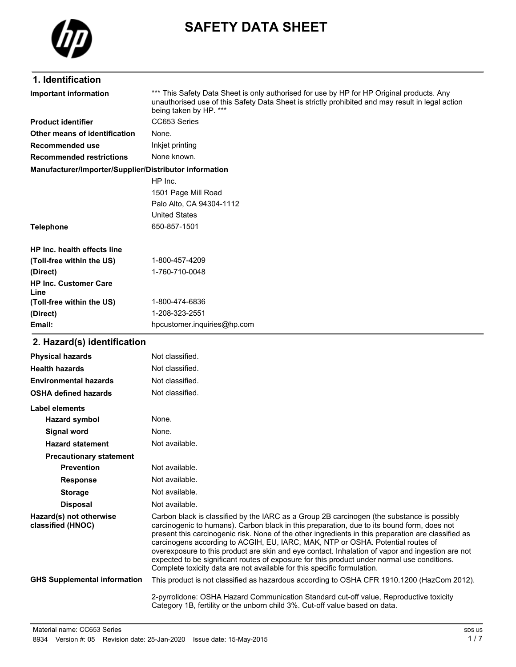

# **SAFETY DATA SHEET**

### **1. Identification**

\*\*\* This Safety Data Sheet is only authorised for use by HP for HP Original products. Any unauthorised use of this Safety Data Sheet is strictly prohibited and may result in legal action being taken by HP. \*\*\* **Important information Product identifier** CC653 Series **Other means of identification** None. **Recommended use** Inkjet printing **Recommended restrictions** None known. **Manufacturer/Importer/Supplier/Distributor information** HP Inc. 1501 Page Mill Road Palo Alto, CA 94304-1112 United States **Telephone** 650-857-1501 **HP Inc. health effects line (Toll-free within the US)** 1-800-457-4209 **(Direct)** 1-760-710-0048 **HP Inc. Customer Care (Toll-free within the US)** 1-800-474-6836 **(Direct)** 1-208-323-2551 **Email:** hpcustomer.inquiries@hp.com

#### **2. Hazard(s) identification**

**Line**

| <b>Physical hazards</b>                      | Not classified.                                                                                                                                                                                                                                                                                                                                                                                                                                                                                                                                                                                                                                                  |
|----------------------------------------------|------------------------------------------------------------------------------------------------------------------------------------------------------------------------------------------------------------------------------------------------------------------------------------------------------------------------------------------------------------------------------------------------------------------------------------------------------------------------------------------------------------------------------------------------------------------------------------------------------------------------------------------------------------------|
| <b>Health hazards</b>                        | Not classified.                                                                                                                                                                                                                                                                                                                                                                                                                                                                                                                                                                                                                                                  |
| <b>Environmental hazards</b>                 | Not classified.                                                                                                                                                                                                                                                                                                                                                                                                                                                                                                                                                                                                                                                  |
| <b>OSHA defined hazards</b>                  | Not classified.                                                                                                                                                                                                                                                                                                                                                                                                                                                                                                                                                                                                                                                  |
| Label elements                               |                                                                                                                                                                                                                                                                                                                                                                                                                                                                                                                                                                                                                                                                  |
| <b>Hazard symbol</b>                         | None.                                                                                                                                                                                                                                                                                                                                                                                                                                                                                                                                                                                                                                                            |
| Signal word                                  | None.                                                                                                                                                                                                                                                                                                                                                                                                                                                                                                                                                                                                                                                            |
| <b>Hazard statement</b>                      | Not available.                                                                                                                                                                                                                                                                                                                                                                                                                                                                                                                                                                                                                                                   |
| <b>Precautionary statement</b>               |                                                                                                                                                                                                                                                                                                                                                                                                                                                                                                                                                                                                                                                                  |
| <b>Prevention</b>                            | Not available.                                                                                                                                                                                                                                                                                                                                                                                                                                                                                                                                                                                                                                                   |
| <b>Response</b>                              | Not available.                                                                                                                                                                                                                                                                                                                                                                                                                                                                                                                                                                                                                                                   |
| <b>Storage</b>                               | Not available.                                                                                                                                                                                                                                                                                                                                                                                                                                                                                                                                                                                                                                                   |
| <b>Disposal</b>                              | Not available.                                                                                                                                                                                                                                                                                                                                                                                                                                                                                                                                                                                                                                                   |
| Hazard(s) not otherwise<br>classified (HNOC) | Carbon black is classified by the IARC as a Group 2B carcinogen (the substance is possibly<br>carcinogenic to humans). Carbon black in this preparation, due to its bound form, does not<br>present this carcinogenic risk. None of the other ingredients in this preparation are classified as<br>carcinogens according to ACGIH, EU, IARC, MAK, NTP or OSHA. Potential routes of<br>overexposure to this product are skin and eye contact. Inhalation of vapor and ingestion are not<br>expected to be significant routes of exposure for this product under normal use conditions.<br>Complete toxicity data are not available for this specific formulation. |
| <b>GHS Supplemental information</b>          | This product is not classified as hazardous according to OSHA CFR 1910.1200 (HazCom 2012).                                                                                                                                                                                                                                                                                                                                                                                                                                                                                                                                                                       |
|                                              | 2-pyrrolidone: OSHA Hazard Communication Standard cut-off value, Reproductive toxicity<br>Category 1B, fertility or the unborn child 3%. Cut-off value based on data.                                                                                                                                                                                                                                                                                                                                                                                                                                                                                            |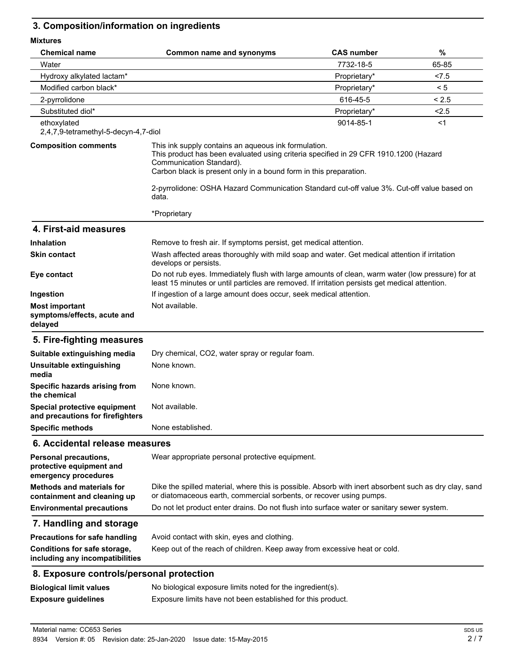## **3. Composition/information on ingredients**

| <b>MIXTURES</b>                                                           |                                                                                                                                                                                                                                               |                   |       |
|---------------------------------------------------------------------------|-----------------------------------------------------------------------------------------------------------------------------------------------------------------------------------------------------------------------------------------------|-------------------|-------|
| <b>Chemical name</b>                                                      | <b>Common name and synonyms</b>                                                                                                                                                                                                               | <b>CAS number</b> | %     |
| Water                                                                     |                                                                                                                                                                                                                                               | 7732-18-5         | 65-85 |
| Hydroxy alkylated lactam*                                                 |                                                                                                                                                                                                                                               | Proprietary*      | < 7.5 |
| Modified carbon black*                                                    |                                                                                                                                                                                                                                               | Proprietary*      | < 5   |
| 2-pyrrolidone                                                             |                                                                                                                                                                                                                                               | 616-45-5          | < 2.5 |
| Substituted diol*                                                         |                                                                                                                                                                                                                                               | Proprietary*      | 2.5   |
| ethoxylated<br>2,4,7,9-tetramethyl-5-decyn-4,7-diol                       |                                                                                                                                                                                                                                               | 9014-85-1         | $<$ 1 |
| <b>Composition comments</b>                                               | This ink supply contains an aqueous ink formulation.<br>This product has been evaluated using criteria specified in 29 CFR 1910.1200 (Hazard<br>Communication Standard).<br>Carbon black is present only in a bound form in this preparation. |                   |       |
|                                                                           | 2-pyrrolidone: OSHA Hazard Communication Standard cut-off value 3%. Cut-off value based on<br>data.                                                                                                                                           |                   |       |
|                                                                           | *Proprietary                                                                                                                                                                                                                                  |                   |       |
| 4. First-aid measures                                                     |                                                                                                                                                                                                                                               |                   |       |
| <b>Inhalation</b>                                                         | Remove to fresh air. If symptoms persist, get medical attention.                                                                                                                                                                              |                   |       |
| <b>Skin contact</b>                                                       | Wash affected areas thoroughly with mild soap and water. Get medical attention if irritation<br>develops or persists.                                                                                                                         |                   |       |
| Eye contact                                                               | Do not rub eyes. Immediately flush with large amounts of clean, warm water (low pressure) for at<br>least 15 minutes or until particles are removed. If irritation persists get medical attention.                                            |                   |       |
| Ingestion                                                                 | If ingestion of a large amount does occur, seek medical attention.                                                                                                                                                                            |                   |       |
| <b>Most important</b><br>symptoms/effects, acute and<br>delayed           | Not available.                                                                                                                                                                                                                                |                   |       |
| 5. Fire-fighting measures                                                 |                                                                                                                                                                                                                                               |                   |       |
| Suitable extinguishing media                                              | Dry chemical, CO2, water spray or regular foam.                                                                                                                                                                                               |                   |       |
| Unsuitable extinguishing<br>media                                         | None known.                                                                                                                                                                                                                                   |                   |       |
| Specific hazards arising from<br>the chemical                             | None known.                                                                                                                                                                                                                                   |                   |       |
| Special protective equipment<br>and precautions for firefighters          | Not available.                                                                                                                                                                                                                                |                   |       |
| <b>Specific methods</b>                                                   | None established.                                                                                                                                                                                                                             |                   |       |
| 6. Accidental release measures                                            |                                                                                                                                                                                                                                               |                   |       |
| Personal precautions,<br>protective equipment and<br>emergency procedures | Wear appropriate personal protective equipment.                                                                                                                                                                                               |                   |       |
| <b>Methods and materials for</b><br>containment and cleaning up           | Dike the spilled material, where this is possible. Absorb with inert absorbent such as dry clay, sand<br>or diatomaceous earth, commercial sorbents, or recover using pumps.                                                                  |                   |       |
| <b>Environmental precautions</b>                                          | Do not let product enter drains. Do not flush into surface water or sanitary sewer system.                                                                                                                                                    |                   |       |
| 7. Handling and storage                                                   |                                                                                                                                                                                                                                               |                   |       |
| <b>Precautions for safe handling</b>                                      | Avoid contact with skin, eyes and clothing.                                                                                                                                                                                                   |                   |       |
| Conditions for safe storage,<br>including any incompatibilities           | Keep out of the reach of children. Keep away from excessive heat or cold.                                                                                                                                                                     |                   |       |
| 8. Exposure controls/personal protection                                  |                                                                                                                                                                                                                                               |                   |       |
| <b>Biological limit values</b>                                            | No biological exposure limits noted for the ingredient(s).                                                                                                                                                                                    |                   |       |
| <b>Exposure guidelines</b>                                                | Exposure limits have not been established for this product.                                                                                                                                                                                   |                   |       |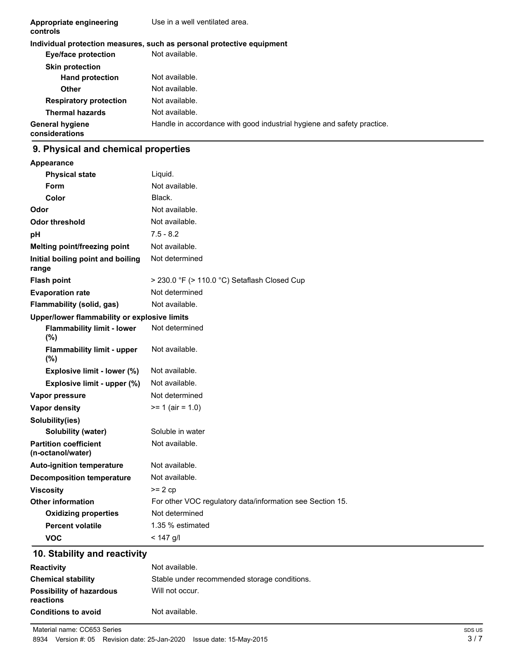| Appropriate engineering<br>controls      | Use in a well ventilated area.                                         |  |  |
|------------------------------------------|------------------------------------------------------------------------|--|--|
|                                          | Individual protection measures, such as personal protective equipment  |  |  |
| <b>Eye/face protection</b>               | Not available.                                                         |  |  |
| <b>Skin protection</b>                   |                                                                        |  |  |
| <b>Hand protection</b>                   | Not available.                                                         |  |  |
| Other                                    | Not available.                                                         |  |  |
| <b>Respiratory protection</b>            | Not available.                                                         |  |  |
| <b>Thermal hazards</b>                   | Not available.                                                         |  |  |
| <b>General hygiene</b><br>considerations | Handle in accordance with good industrial hygiene and safety practice. |  |  |

## **9. Physical and chemical properties**

| <b>Appearance</b>                                 |                                                           |
|---------------------------------------------------|-----------------------------------------------------------|
| <b>Physical state</b>                             | Liquid.                                                   |
| <b>Form</b>                                       | Not available.                                            |
| Color                                             | Black.                                                    |
| Odor                                              | Not available.                                            |
| Odor threshold                                    | Not available.                                            |
| pH                                                | $7.5 - 8.2$                                               |
| Melting point/freezing point                      | Not available.                                            |
| Initial boiling point and boiling<br>range        | Not determined                                            |
| <b>Flash point</b>                                | $>$ 230.0 °F ( $>$ 110.0 °C) Setaflash Closed Cup         |
| <b>Evaporation rate</b>                           | Not determined                                            |
| Flammability (solid, gas)                         | Not available.                                            |
| Upper/lower flammability or explosive limits      |                                                           |
| <b>Flammability limit - lower</b><br>(%)          | Not determined                                            |
| <b>Flammability limit - upper</b><br>(%)          | Not available.                                            |
| Explosive limit - lower (%)                       | Not available.                                            |
| Explosive limit - upper (%)                       | Not available.                                            |
| Vapor pressure                                    | Not determined                                            |
| <b>Vapor density</b>                              | $>= 1$ (air = 1.0)                                        |
| Solubility(ies)                                   |                                                           |
| <b>Solubility (water)</b>                         | Soluble in water                                          |
| <b>Partition coefficient</b><br>(n-octanol/water) | Not available.                                            |
| <b>Auto-ignition temperature</b>                  | Not available.                                            |
| <b>Decomposition temperature</b>                  | Not available.                                            |
| <b>Viscosity</b>                                  | $>= 2 cp$                                                 |
| <b>Other information</b>                          | For other VOC regulatory data/information see Section 15. |
| <b>Oxidizing properties</b>                       | Not determined                                            |
| <b>Percent volatile</b>                           | 1.35 % estimated                                          |
| VOC                                               | $< 147$ a/l                                               |

## **10. Stability and reactivity**

| <b>Reactivity</b>                            | Not available.                               |
|----------------------------------------------|----------------------------------------------|
| <b>Chemical stability</b>                    | Stable under recommended storage conditions. |
| <b>Possibility of hazardous</b><br>reactions | Will not occur.                              |
| <b>Conditions to avoid</b>                   | Not available.                               |

Material name: CC653 Series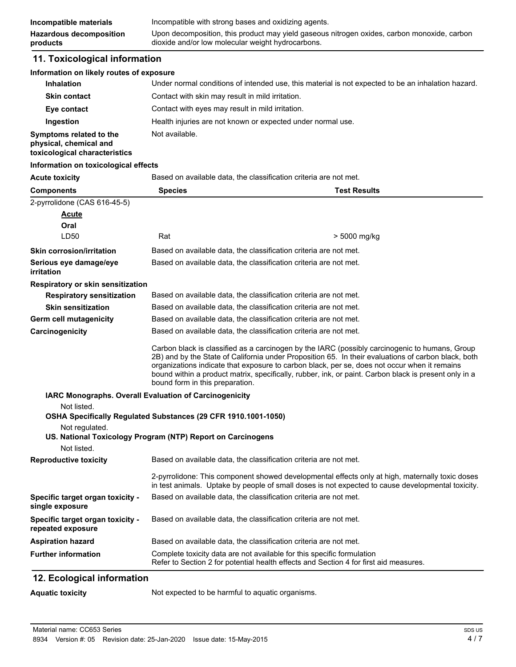#### **11. Toxicological information**

#### **Information on likely routes of exposure**

| <b>Inhalation</b>                                                                  | Under normal conditions of intended use, this material is not expected to be an inhalation hazard. |
|------------------------------------------------------------------------------------|----------------------------------------------------------------------------------------------------|
| <b>Skin contact</b>                                                                | Contact with skin may result in mild irritation.                                                   |
| Eye contact                                                                        | Contact with eyes may result in mild irritation.                                                   |
| Ingestion                                                                          | Health injuries are not known or expected under normal use.                                        |
| Symptoms related to the<br>physical, chemical and<br>toxicological characteristics | Not available.                                                                                     |

#### **Information on toxicological effects**

**Acute toxicity** Based on available data, the classification criteria are not met.

| <b>Components</b>                                     | <b>Species</b>                                                                                                                                                                                                                                                                                                                                                                                                                                    | <b>Test Results</b> |
|-------------------------------------------------------|---------------------------------------------------------------------------------------------------------------------------------------------------------------------------------------------------------------------------------------------------------------------------------------------------------------------------------------------------------------------------------------------------------------------------------------------------|---------------------|
| 2-pyrrolidone (CAS 616-45-5)                          |                                                                                                                                                                                                                                                                                                                                                                                                                                                   |                     |
| <b>Acute</b>                                          |                                                                                                                                                                                                                                                                                                                                                                                                                                                   |                     |
| Oral                                                  |                                                                                                                                                                                                                                                                                                                                                                                                                                                   |                     |
| LD50                                                  | Rat                                                                                                                                                                                                                                                                                                                                                                                                                                               | > 5000 mg/kg        |
| <b>Skin corrosion/irritation</b>                      | Based on available data, the classification criteria are not met.                                                                                                                                                                                                                                                                                                                                                                                 |                     |
| Serious eye damage/eye<br>irritation                  | Based on available data, the classification criteria are not met.                                                                                                                                                                                                                                                                                                                                                                                 |                     |
| Respiratory or skin sensitization                     |                                                                                                                                                                                                                                                                                                                                                                                                                                                   |                     |
| <b>Respiratory sensitization</b>                      | Based on available data, the classification criteria are not met.                                                                                                                                                                                                                                                                                                                                                                                 |                     |
| <b>Skin sensitization</b>                             | Based on available data, the classification criteria are not met.                                                                                                                                                                                                                                                                                                                                                                                 |                     |
| Germ cell mutagenicity                                | Based on available data, the classification criteria are not met.                                                                                                                                                                                                                                                                                                                                                                                 |                     |
| Carcinogenicity                                       | Based on available data, the classification criteria are not met.                                                                                                                                                                                                                                                                                                                                                                                 |                     |
|                                                       | Carbon black is classified as a carcinogen by the IARC (possibly carcinogenic to humans, Group<br>2B) and by the State of California under Proposition 65. In their evaluations of carbon black, both<br>organizations indicate that exposure to carbon black, per se, does not occur when it remains<br>bound within a product matrix, specifically, rubber, ink, or paint. Carbon black is present only in a<br>bound form in this preparation. |                     |
|                                                       | IARC Monographs. Overall Evaluation of Carcinogenicity                                                                                                                                                                                                                                                                                                                                                                                            |                     |
| Not listed.                                           |                                                                                                                                                                                                                                                                                                                                                                                                                                                   |                     |
|                                                       | OSHA Specifically Regulated Substances (29 CFR 1910.1001-1050)                                                                                                                                                                                                                                                                                                                                                                                    |                     |
| Not regulated.                                        | US. National Toxicology Program (NTP) Report on Carcinogens                                                                                                                                                                                                                                                                                                                                                                                       |                     |
| Not listed.                                           |                                                                                                                                                                                                                                                                                                                                                                                                                                                   |                     |
| <b>Reproductive toxicity</b>                          | Based on available data, the classification criteria are not met.                                                                                                                                                                                                                                                                                                                                                                                 |                     |
|                                                       | 2-pyrrolidone: This component showed developmental effects only at high, maternally toxic doses<br>in test animals. Uptake by people of small doses is not expected to cause developmental toxicity.                                                                                                                                                                                                                                              |                     |
| Specific target organ toxicity -<br>single exposure   | Based on available data, the classification criteria are not met.                                                                                                                                                                                                                                                                                                                                                                                 |                     |
| Specific target organ toxicity -<br>repeated exposure | Based on available data, the classification criteria are not met.                                                                                                                                                                                                                                                                                                                                                                                 |                     |
| <b>Aspiration hazard</b>                              | Based on available data, the classification criteria are not met.                                                                                                                                                                                                                                                                                                                                                                                 |                     |
| <b>Further information</b>                            | Complete toxicity data are not available for this specific formulation<br>Refer to Section 2 for potential health effects and Section 4 for first aid measures.                                                                                                                                                                                                                                                                                   |                     |

#### **12. Ecological information**

**Aquatic toxicity** Not expected to be harmful to aquatic organisms.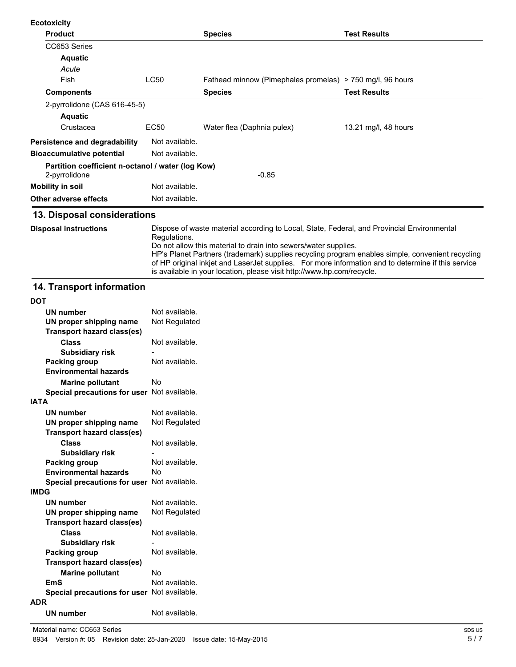| <b>Ecotoxicity</b>                                                 |                |                                                           |                      |
|--------------------------------------------------------------------|----------------|-----------------------------------------------------------|----------------------|
| <b>Product</b>                                                     |                | <b>Species</b>                                            | <b>Test Results</b>  |
| CC653 Series                                                       |                |                                                           |                      |
| <b>Aquatic</b>                                                     |                |                                                           |                      |
| Acute                                                              |                |                                                           |                      |
| Fish                                                               | <b>LC50</b>    | Fathead minnow (Pimephales promelas) > 750 mg/l, 96 hours |                      |
| <b>Components</b>                                                  |                | <b>Species</b>                                            | <b>Test Results</b>  |
| 2-pyrrolidone (CAS 616-45-5)                                       |                |                                                           |                      |
| <b>Aquatic</b>                                                     |                |                                                           |                      |
| Crustacea                                                          | EC50           | Water flea (Daphnia pulex)                                | 13.21 mg/l, 48 hours |
| Persistence and degradability                                      | Not available. |                                                           |                      |
| <b>Bioaccumulative potential</b>                                   | Not available. |                                                           |                      |
| Partition coefficient n-octanol / water (log Kow)<br>2-pyrrolidone |                | $-0.85$                                                   |                      |
| <b>Mobility in soil</b>                                            | Not available. |                                                           |                      |
| Other adverse effects                                              | Not available. |                                                           |                      |

Dispose of waste material according to Local, State, Federal, and Provincial Environmental Regulations. Do not allow this material to drain into sewers/water supplies. HP's Planet Partners (trademark) supplies recycling program enables simple, convenient recycling of HP original inkjet and LaserJet supplies. For more information and to determine if this service is available in your location, please visit http://www.hp.com/recycle. **Disposal instructions**

#### **14. Transport information**

| וטט                                         |                |
|---------------------------------------------|----------------|
| <b>UN number</b>                            | Not available. |
| UN proper shipping name                     | Not Regulated  |
| <b>Transport hazard class(es)</b>           |                |
| <b>Class</b>                                | Not available. |
| <b>Subsidiary risk</b>                      |                |
| Packing group                               | Not available. |
| <b>Environmental hazards</b>                |                |
| <b>Marine pollutant</b>                     | No             |
| Special precautions for user Not available. |                |
| <b>IATA</b>                                 |                |
| <b>UN number</b>                            | Not available. |
| UN proper shipping name                     | Not Regulated  |
| <b>Transport hazard class(es)</b>           |                |
| <b>Class</b>                                | Not available. |
| <b>Subsidiary risk</b>                      |                |
| Packing group                               | Not available. |
| <b>Environmental hazards</b>                | No             |
| Special precautions for user Not available. |                |
| <b>IMDG</b>                                 |                |
| <b>UN number</b>                            | Not available. |
| UN proper shipping name                     | Not Regulated  |
| Transport hazard class(es)                  |                |
| <b>Class</b>                                | Not available. |
| <b>Subsidiary risk</b>                      |                |
| Packing group                               | Not available. |
| <b>Transport hazard class(es)</b>           |                |
| <b>Marine pollutant</b>                     | No             |
| <b>EmS</b>                                  | Not available. |
| Special precautions for user Not available. |                |
| <b>ADR</b>                                  |                |
| <b>UN number</b>                            | Not available. |
|                                             |                |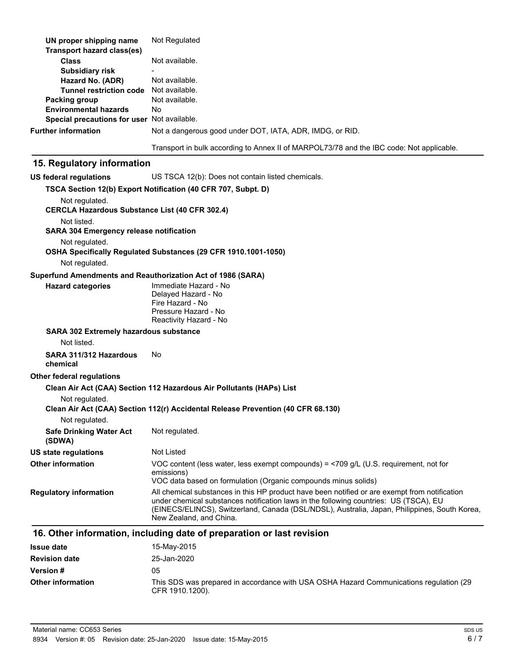| UN proper shipping name<br><b>Transport hazard class(es)</b>            | Not Regulated                                                                                  |
|-------------------------------------------------------------------------|------------------------------------------------------------------------------------------------|
| <b>Class</b>                                                            | Not available.                                                                                 |
| <b>Subsidiary risk</b>                                                  |                                                                                                |
| Hazard No. (ADR)                                                        | Not available.                                                                                 |
| <b>Tunnel restriction code</b>                                          | Not available.                                                                                 |
| Packing group<br><b>Environmental hazards</b>                           | Not available.<br>No.                                                                          |
| Special precautions for user Not available.                             |                                                                                                |
| <b>Further information</b>                                              | Not a dangerous good under DOT, IATA, ADR, IMDG, or RID.                                       |
|                                                                         |                                                                                                |
|                                                                         | Transport in bulk according to Annex II of MARPOL73/78 and the IBC code: Not applicable.       |
| 15. Regulatory information                                              |                                                                                                |
| <b>US federal regulations</b>                                           | US TSCA 12(b): Does not contain listed chemicals.                                              |
|                                                                         | TSCA Section 12(b) Export Notification (40 CFR 707, Subpt. D)                                  |
| Not regulated.<br><b>CERCLA Hazardous Substance List (40 CFR 302.4)</b> |                                                                                                |
| Not listed.                                                             |                                                                                                |
| <b>SARA 304 Emergency release notification</b>                          |                                                                                                |
| Not regulated.                                                          | OSHA Specifically Regulated Substances (29 CFR 1910.1001-1050)                                 |
| Not regulated.                                                          |                                                                                                |
|                                                                         | Superfund Amendments and Reauthorization Act of 1986 (SARA)                                    |
| <b>Hazard categories</b>                                                | Immediate Hazard - No                                                                          |
|                                                                         | Delayed Hazard - No<br>Fire Hazard - No                                                        |
|                                                                         | Pressure Hazard - No                                                                           |
|                                                                         | Reactivity Hazard - No                                                                         |
| SARA 302 Extremely hazardous substance                                  |                                                                                                |
| Not listed.                                                             |                                                                                                |
| SARA 311/312 Hazardous<br>chemical                                      | No                                                                                             |
| Other federal regulations                                               |                                                                                                |
|                                                                         | Clean Air Act (CAA) Section 112 Hazardous Air Pollutants (HAPs) List                           |
| Not regulated.                                                          |                                                                                                |
|                                                                         | Clean Air Act (CAA) Section 112(r) Accidental Release Prevention (40 CFR 68.130)               |
| Not regulated.                                                          |                                                                                                |
| <b>Safe Drinking Water Act</b><br>(SDWA)                                | Not regulated.                                                                                 |
| <b>US state regulations</b>                                             | <b>Not Listed</b>                                                                              |
| <b>Other information</b>                                                | VOC content (less water, less exempt compounds) = $\langle$ 709 g/L (U.S. requirement, not for |
|                                                                         | emissions)<br>VOC data based on formulation (Organic compounds minus solids)                   |
| <b>Regulatory information</b>                                           | All chemical substances in this HP product have been notified or are exempt from notification  |
|                                                                         | under chemical substances notification laws in the following countries: US (TSCA), EU          |
|                                                                         | (EINECS/ELINCS), Switzerland, Canada (DSL/NDSL), Australia, Japan, Philippines, South Korea,   |
|                                                                         | New Zealand, and China.                                                                        |
|                                                                         | 16. Other information, including date of preparation or last revision                          |
| <b>Issue date</b>                                                       | 15-May-2015                                                                                    |
| Povicion dato                                                           | $25 - \frac{1}{20} - \frac{2020}{20}$                                                          |

| <b>Revision date</b>     | 25-Jan-2020                                                                                                |
|--------------------------|------------------------------------------------------------------------------------------------------------|
| <b>Version</b> #         | 05                                                                                                         |
| <b>Other information</b> | This SDS was prepared in accordance with USA OSHA Hazard Communications regulation (29)<br>CFR 1910.1200). |